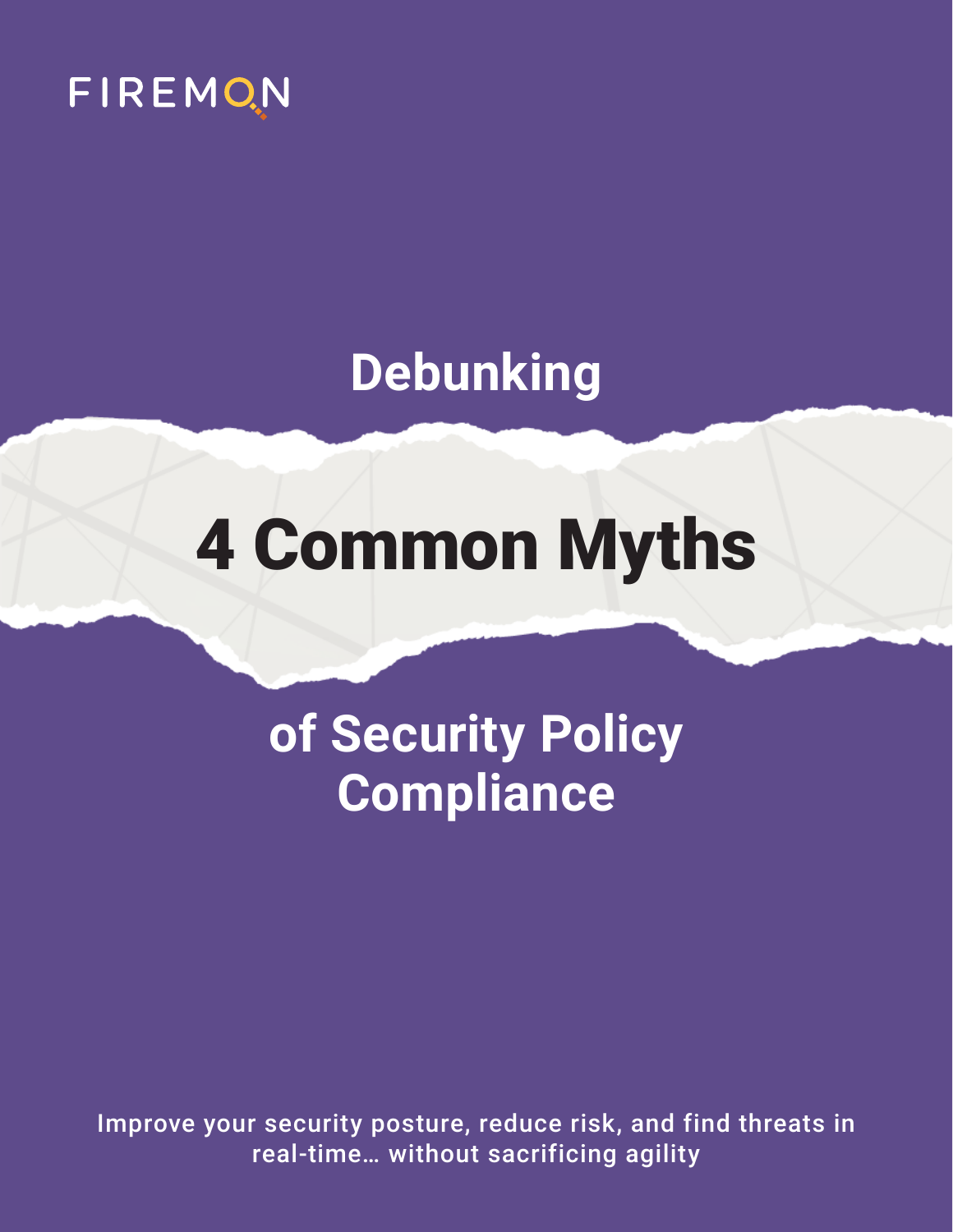

### **Debunking**

# 4 Common Myths

## **of Security Policy Compliance**

Improve your security posture, reduce risk, and find threats in real-time… without sacrificing agility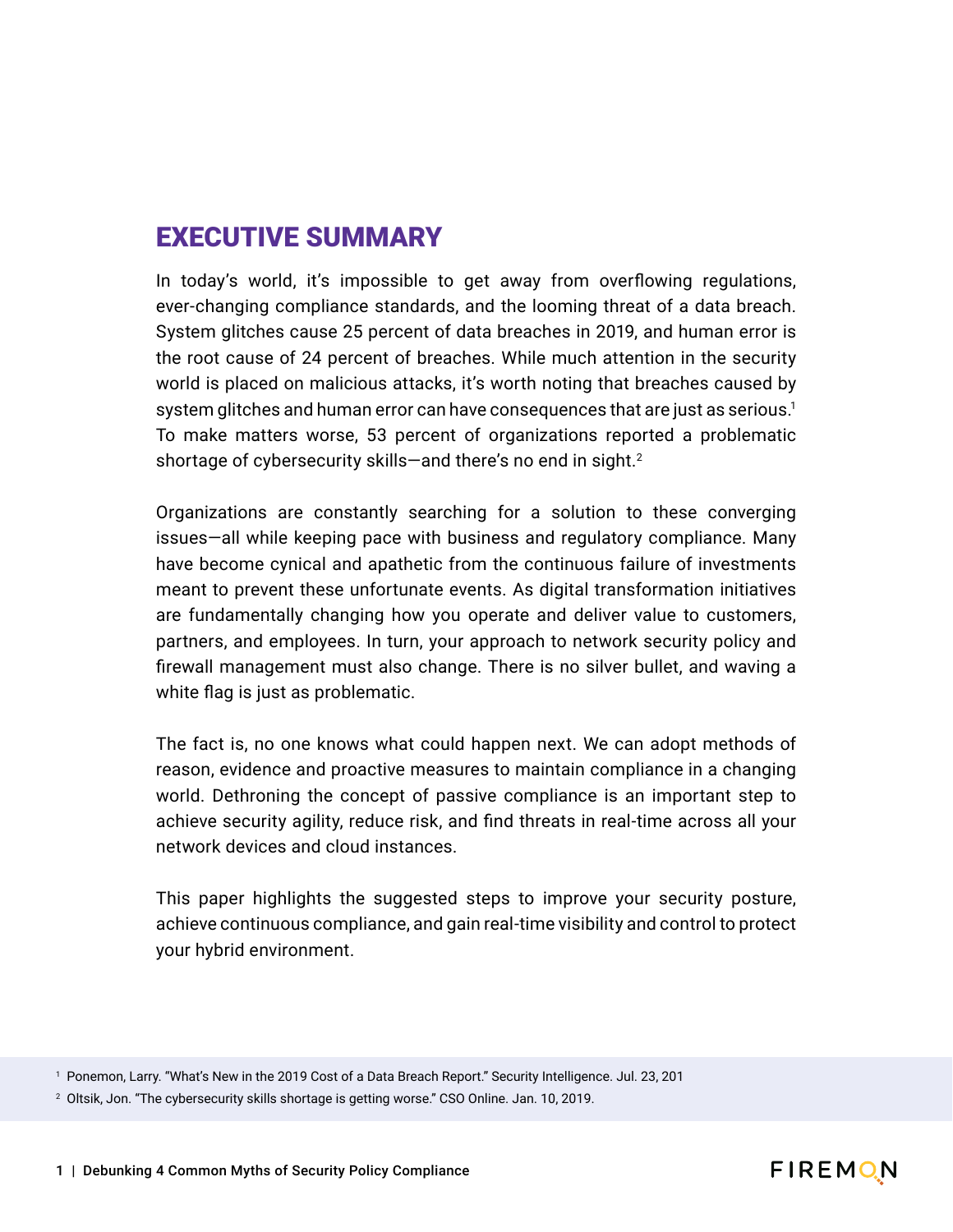#### EXECUTIVE SUMMARY

In today's world, it's impossible to get away from overflowing regulations, ever-changing compliance standards, and the looming threat of a data breach. System glitches cause 25 percent of data breaches in 2019, and human error is the root cause of 24 percent of breaches. While much attention in the security world is placed on malicious attacks, it's worth noting that breaches caused by system glitches and human error can have consequences that are just as serious.<sup>1</sup> To make matters worse, 53 percent of organizations reported a problematic shortage of cybersecurity skills—and there's no end in sight.<sup>2</sup>

Organizations are constantly searching for a solution to these converging issues—all while keeping pace with business and regulatory compliance. Many have become cynical and apathetic from the continuous failure of investments meant to prevent these unfortunate events. As digital transformation initiatives are fundamentally changing how you operate and deliver value to customers, partners, and employees. In turn, your approach to network security policy and firewall management must also change. There is no silver bullet, and waving a white flag is just as problematic.

The fact is, no one knows what could happen next. We can adopt methods of reason, evidence and proactive measures to maintain compliance in a changing world. Dethroning the concept of passive compliance is an important step to achieve security agility, reduce risk, and find threats in real-time across all your network devices and cloud instances.

This paper highlights the suggested steps to improve your security posture, achieve continuous compliance, and gain real-time visibility and control to protect your hybrid environment.



<sup>1</sup> Ponemon, Larry. "What's New in the 2019 Cost of a Data Breach Report." Security Intelligence. Jul. 23, 201

<sup>2</sup> Oltsik, Jon. "The cybersecurity skills shortage is getting worse." CSO Online. Jan. 10, 2019.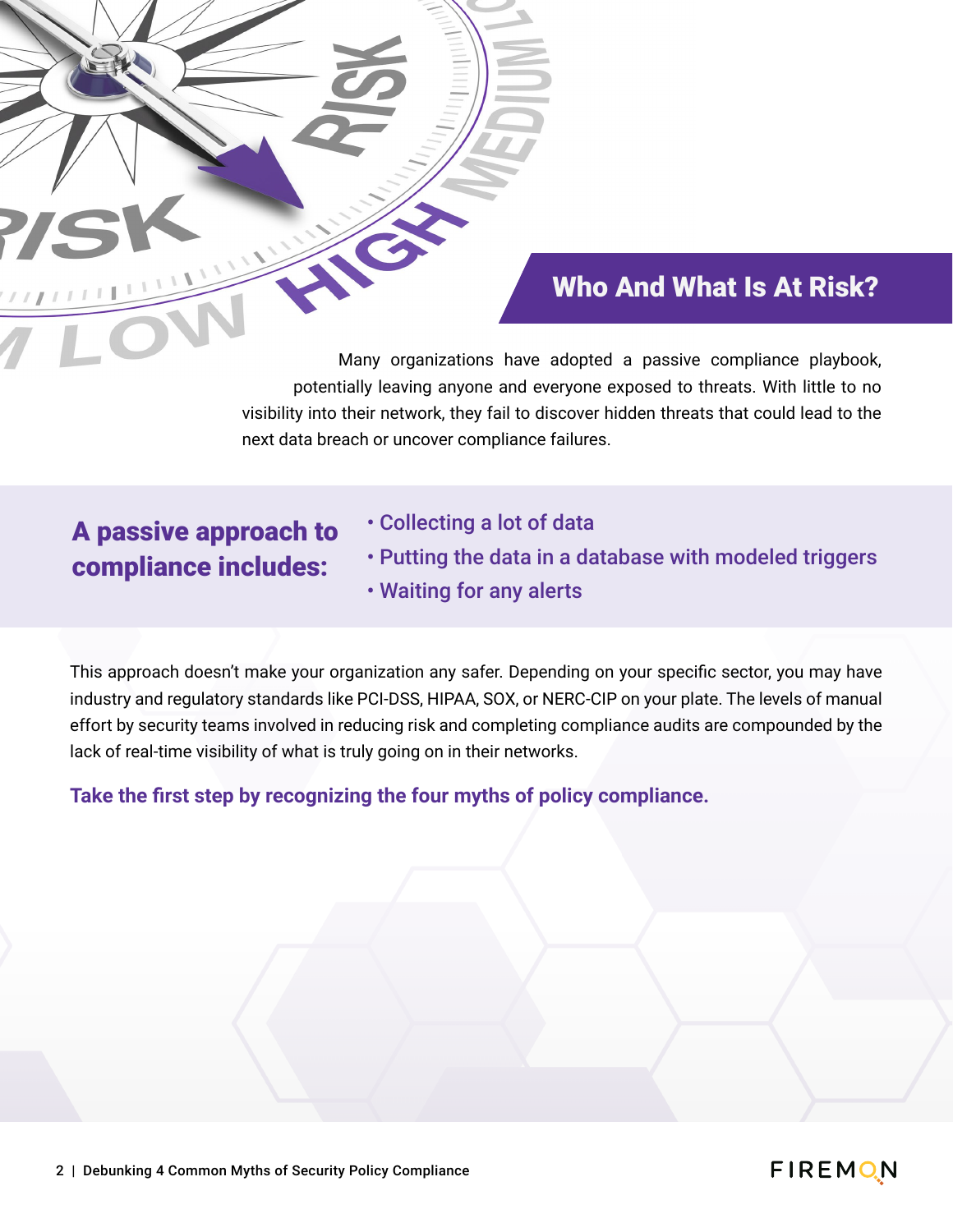#### Who And What Is At Risk?

Many organizations have adopted a passive compliance playbook, potentially leaving anyone and everyone exposed to threats. With little to no visibility into their network, they fail to discover hidden threats that could lead to the next data breach or uncover compliance failures.

#### A passive approach to compliance includes:

- Collecting a lot of data
- Putting the data in a database with modeled triggers • Waiting for any alerts

This approach doesn't make your organization any safer. Depending on your specific sector, you may have industry and regulatory standards like PCI-DSS, HIPAA, SOX, or NERC-CIP on your plate. The levels of manual effort by security teams involved in reducing risk and completing compliance audits are compounded by the lack of real-time visibility of what is truly going on in their networks.

**Take the first step by recognizing the four myths of policy compliance.**

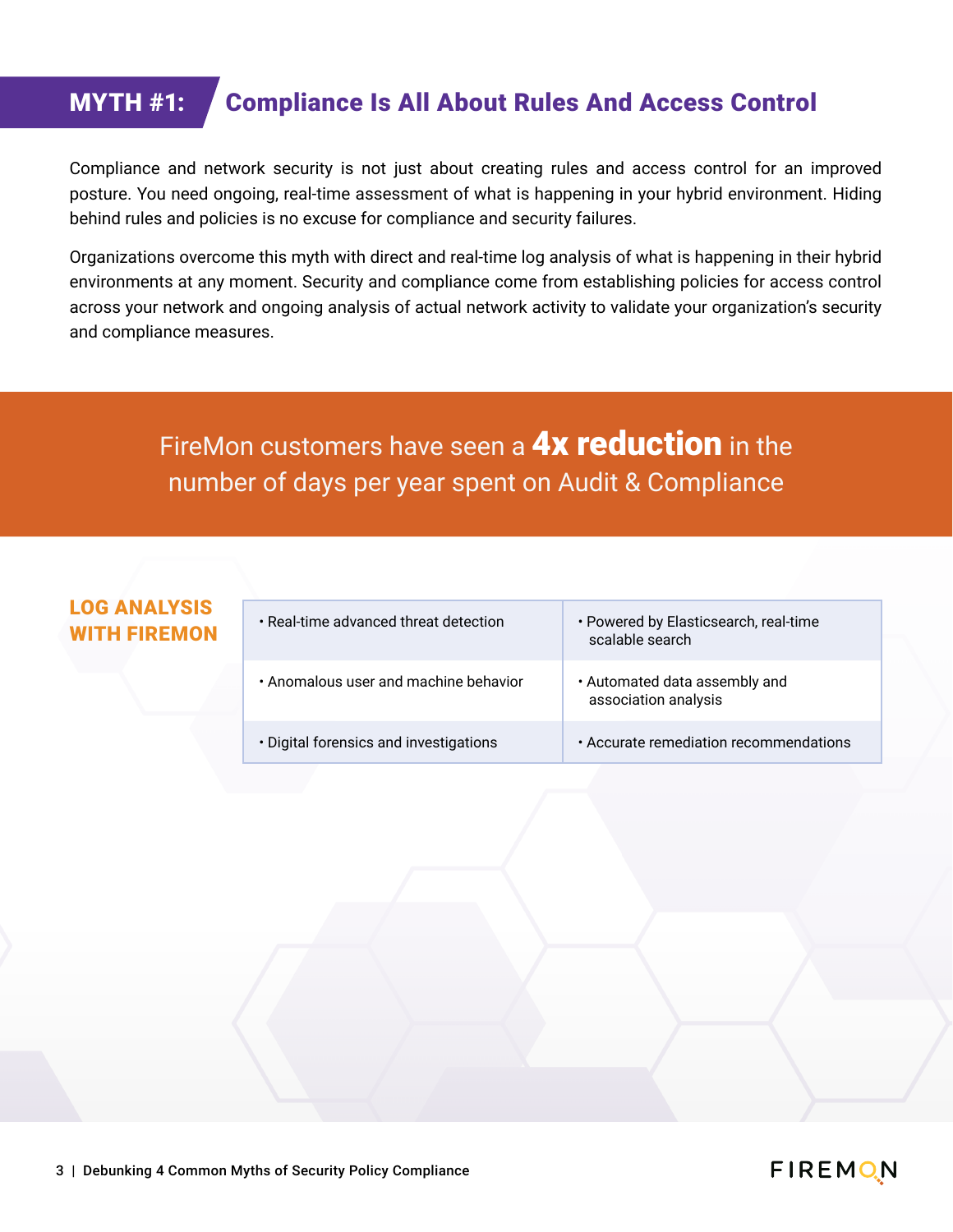#### MYTH #1: Compliance Is All About Rules And Access Control

Compliance and network security is not just about creating rules and access control for an improved posture. You need ongoing, real-time assessment of what is happening in your hybrid environment. Hiding behind rules and policies is no excuse for compliance and security failures.

Organizations overcome this myth with direct and real-time log analysis of what is happening in their hybrid environments at any moment. Security and compliance come from establishing policies for access control across your network and ongoing analysis of actual network activity to validate your organization's security and compliance measures.

#### FireMon customers have seen a **4x reduction** in the number of days per year spent on Audit & Compliance

### LOG ANALYSIS

- 
- Anomalous user and machine behavior  $\cdot$  Automated data assembly and
- 
- **WITH FIREMON** Real-time advanced threat detection Powered by Elasticsearch, real-time scalable search
	- association analysis
	- Digital forensics and investigations Accurate remediation recommendations

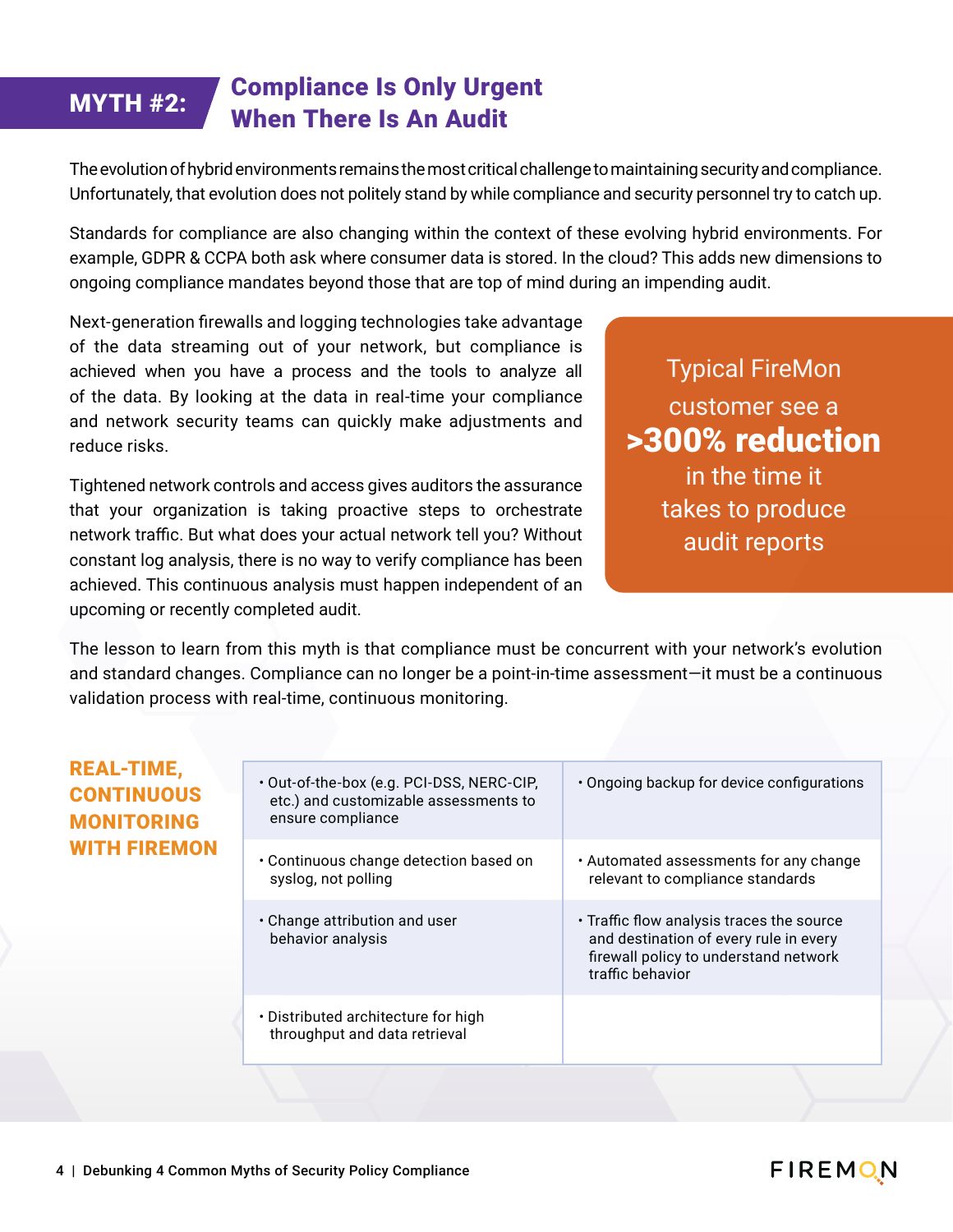#### MYTH #2: Compliance Is Only Urgent When There Is An Audit

The evolution of hybrid environments remains the most critical challenge to maintaining security and compliance. Unfortunately, that evolution does not politely stand by while compliance and security personnel try to catch up.

Standards for compliance are also changing within the context of these evolving hybrid environments. For example, GDPR & CCPA both ask where consumer data is stored. In the cloud? This adds new dimensions to ongoing compliance mandates beyond those that are top of mind during an impending audit.

Next-generation firewalls and logging technologies take advantage of the data streaming out of your network, but compliance is achieved when you have a process and the tools to analyze all of the data. By looking at the data in real-time your compliance and network security teams can quickly make adjustments and reduce risks.

Tightened network controls and access gives auditors the assurance that your organization is taking proactive steps to orchestrate network traffic. But what does your actual network tell you? Without constant log analysis, there is no way to verify compliance has been achieved. This continuous analysis must happen independent of an upcoming or recently completed audit.

Typical FireMon customer see a >300% reduction in the time it takes to produce audit reports

The lesson to learn from this myth is that compliance must be concurrent with your network's evolution and standard changes. Compliance can no longer be a point-in-time assessment—it must be a continuous validation process with real-time, continuous monitoring.

#### REAL-TIME, **CONTINUO MONITORI WITH FIRE**

| c,<br><b>JUS</b><br><b>ING</b><br><b>MON</b> | . Out-of-the-box (e.g. PCI-DSS, NERC-CIP,<br>etc.) and customizable assessments to<br>ensure compliance | • Ongoing backup for device configurations                                                                                                       |
|----------------------------------------------|---------------------------------------------------------------------------------------------------------|--------------------------------------------------------------------------------------------------------------------------------------------------|
|                                              | • Continuous change detection based on<br>syslog, not polling                                           | • Automated assessments for any change<br>relevant to compliance standards                                                                       |
|                                              | $\cdot$ Change attribution and user<br>behavior analysis                                                | • Traffic flow analysis traces the source<br>and destination of every rule in every<br>firewall policy to understand network<br>traffic behavior |
|                                              | • Distributed architecture for high<br>throughput and data retrieval                                    |                                                                                                                                                  |

#### **FIREMON**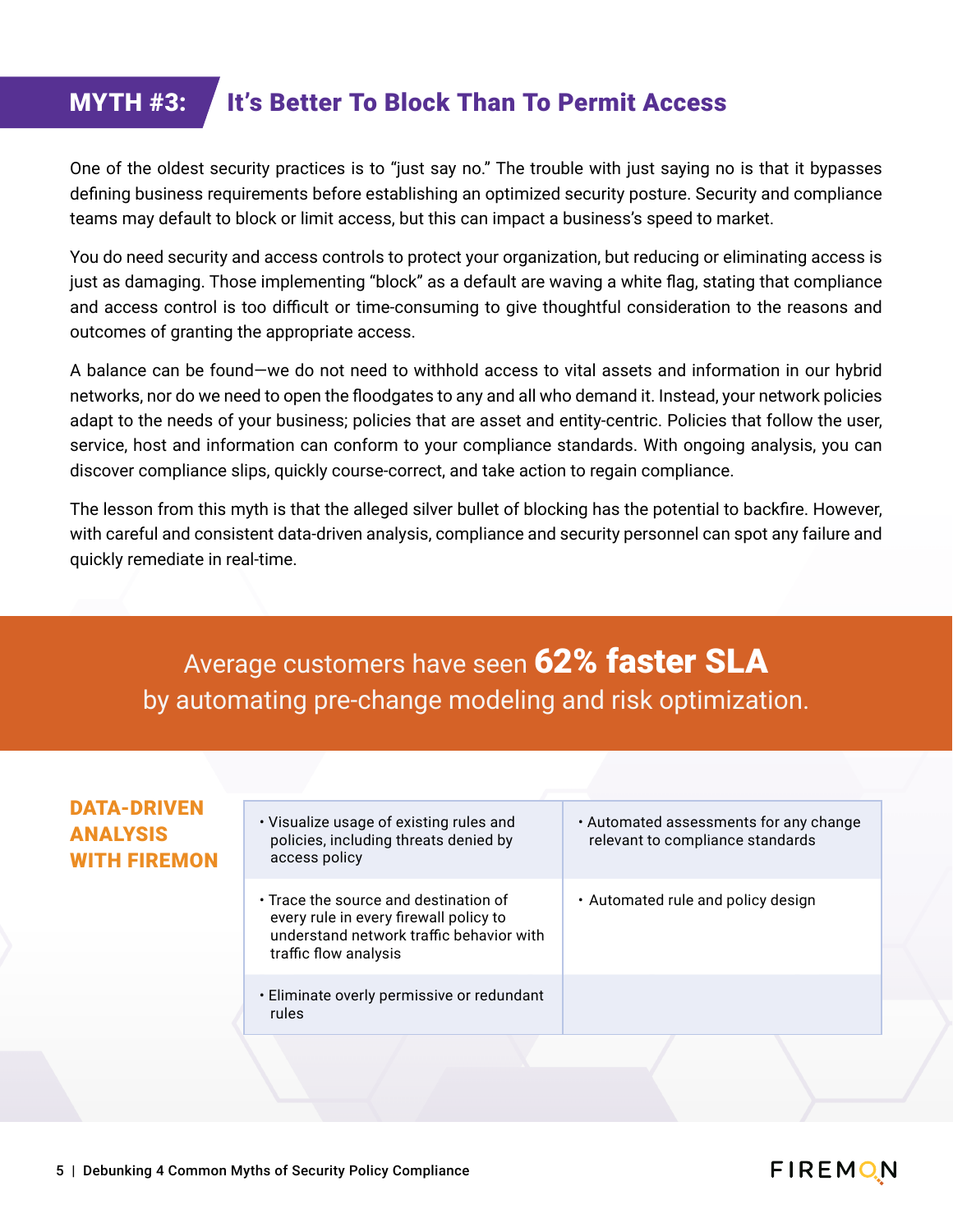#### MYTH #3: It's Better To Block Than To Permit Access

One of the oldest security practices is to "just say no." The trouble with just saying no is that it bypasses defining business requirements before establishing an optimized security posture. Security and compliance teams may default to block or limit access, but this can impact a business's speed to market.

You do need security and access controls to protect your organization, but reducing or eliminating access is just as damaging. Those implementing "block" as a default are waving a white flag, stating that compliance and access control is too difficult or time-consuming to give thoughtful consideration to the reasons and outcomes of granting the appropriate access.

A balance can be found—we do not need to withhold access to vital assets and information in our hybrid networks, nor do we need to open the floodgates to any and all who demand it. Instead, your network policies adapt to the needs of your business; policies that are asset and entity-centric. Policies that follow the user, service, host and information can conform to your compliance standards. With ongoing analysis, you can discover compliance slips, quickly course-correct, and take action to regain compliance.

The lesson from this myth is that the alleged silver bullet of blocking has the potential to backfire. However, with careful and consistent data-driven analysis, compliance and security personnel can spot any failure and quickly remediate in real-time.

Average customers have seen 62% faster SLA by automating pre-change modeling and risk optimization.

#### DATA-DRIVEN ANALYSIS WITH FIREMON

- Visualize usage of existing rules and policies, including threats denied by access policy
- Trace the source and destination of every rule in every firewall policy to understand network traffic behavior with traffic flow analysis
- Eliminate overly permissive or redundant rules
- Automated assessments for any change relevant to compliance standards
- Automated rule and policy design

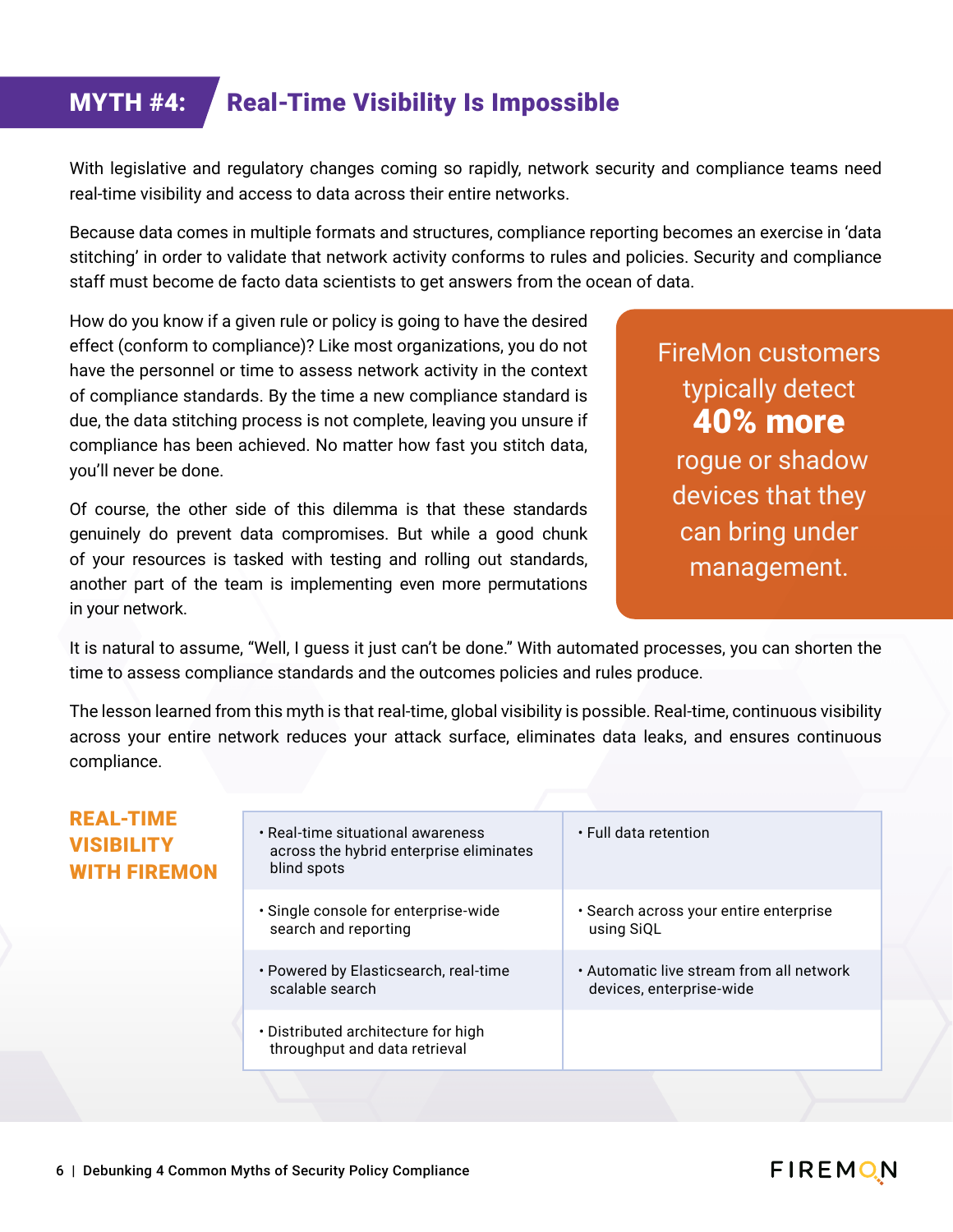#### **MYTH #4: Real-Time Visibility Is Impossible**

With legislative and regulatory changes coming so rapidly, network security and compliance teams need real-time visibility and access to data across their entire networks.

Because data comes in multiple formats and structures, compliance reporting becomes an exercise in 'data stitching' in order to validate that network activity conforms to rules and policies. Security and compliance staff must become de facto data scientists to get answers from the ocean of data.

How do you know if a given rule or policy is going to have the desired effect (conform to compliance)? Like most organizations, you do not have the personnel or time to assess network activity in the context of compliance standards. By the time a new compliance standard is due, the data stitching process is not complete, leaving you unsure if compliance has been achieved. No matter how fast you stitch data, you'll never be done.

Of course, the other side of this dilemma is that these standards genuinely do prevent data compromises. But while a good chunk of your resources is tasked with testing and rolling out standards, another part of the team is implementing even more permutations in your network.

FireMon customers typically detect 40% more rogue or shadow devices that they can bring under management.

It is natural to assume, "Well, I guess it just can't be done." With automated processes, you can shorten the time to assess compliance standards and the outcomes policies and rules produce.

The lesson learned from this myth is that real-time, global visibility is possible. Real-time, continuous visibility across your entire network reduces your attack surface, eliminates data leaks, and ensures continuous compliance.

#### REAL-TIME VISIBILITY WITH FIREMON

| • Real-time situational awareness<br>across the hybrid enterprise eliminates<br>blind spots | • Full data retention                    |
|---------------------------------------------------------------------------------------------|------------------------------------------|
| • Single console for enterprise-wide                                                        | • Search across your entire enterprise   |
| search and reporting                                                                        | using SiQL                               |
| • Powered by Elasticsearch, real-time                                                       | • Automatic live stream from all network |
| scalable search                                                                             | devices, enterprise-wide                 |
| • Distributed architecture for high<br>throughput and data retrieval                        |                                          |

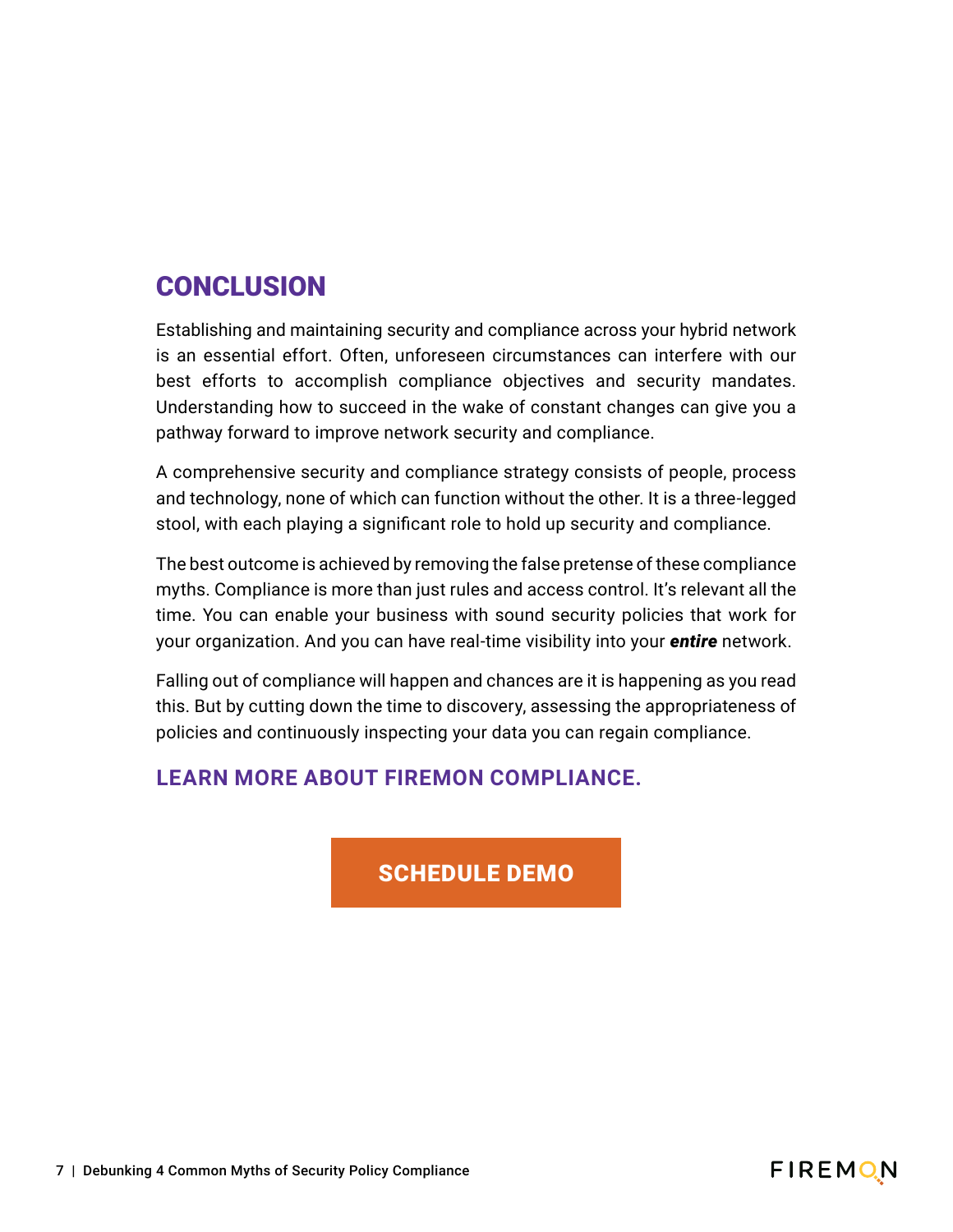#### **CONCLUSION**

Establishing and maintaining security and compliance across your hybrid network is an essential effort. Often, unforeseen circumstances can interfere with our best efforts to accomplish compliance objectives and security mandates. Understanding how to succeed in the wake of constant changes can give you a pathway forward to improve network security and compliance.

A comprehensive security and compliance strategy consists of people, process and technology, none of which can function without the other. It is a three-legged stool, with each playing a significant role to hold up security and compliance.

The best outcome is achieved by removing the false pretense of these compliance myths. Compliance is more than just rules and access control. It's relevant all the time. You can enable your business with sound security policies that work for your organization. And you can have real-time visibility into your *entire* network.

Falling out of compliance will happen and chances are it is happening as you read this. But by cutting down the time to discovery, assessing the appropriateness of policies and continuously inspecting your data you can regain compliance.

#### **LEARN MORE ABOUT FIREMON COMPLIANCE.**

#### [SCHEDULE DEMO](https://www.firemon.com/demo-request/?Marketing_Notes___Most_Recent=Compliance-eBook&Salesforce_Campaign_ID=7011Q000001JMBAQA4)